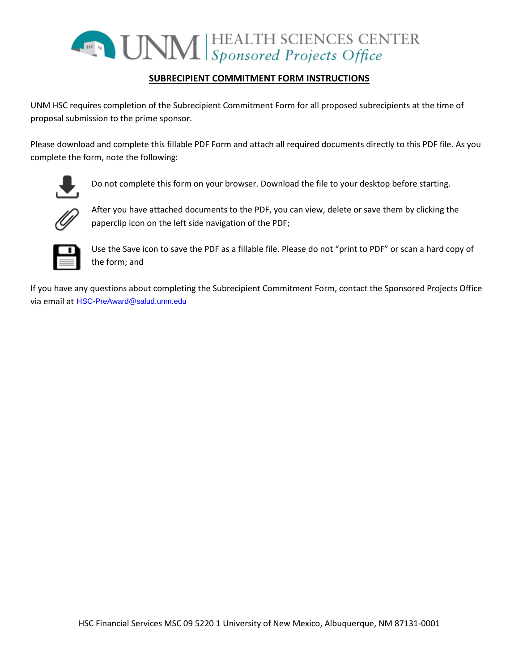

# **SUBRECIPIENT COMMITMENT FORM INSTRUCTIONS**

UNM HSC requires completion of the Subrecipient Commitment Form for all proposed subrecipients at the time of proposal submission to the prime sponsor.

Please download and complete this fillable PDF Form and attach all required documents directly to this PDF file. As you complete the form, note the following:



Do not complete this form on your browser. Download the file to your desktop before starting.



After you have attached documents to the PDF, you can view, delete or save them by clicking the paperclip icon on the left side navigation of the PDF;



Use the Save icon to save the PDF as a fillable file. Please do not "print to PDF" or scan a hard copy of the form; and

If you have any questions about completing the Subrecipient Commitment Form, contact the Sponsored Projects Office via email at HSC-PreAward@salud.unm.edu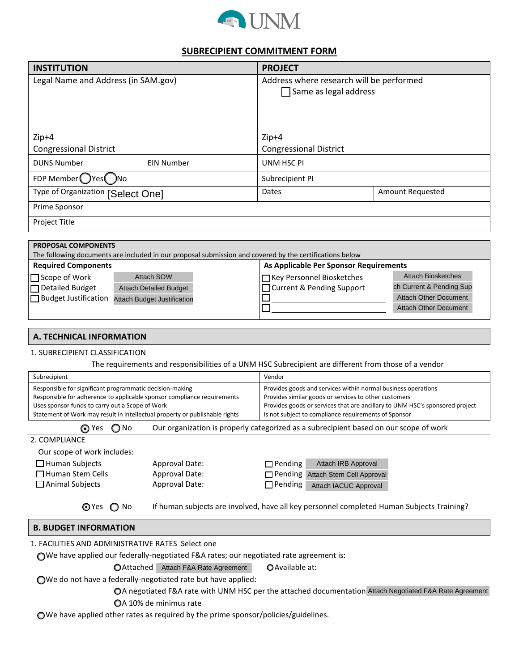

## **SUBRECIPIENT COMMITMENT FORM**

| <b>INSTITUTION</b>                                                                                                                                                                                                                                                    |                                    | <b>PROJECT</b>                                                                                                                                                                                                                                                 |                              |  |  |
|-----------------------------------------------------------------------------------------------------------------------------------------------------------------------------------------------------------------------------------------------------------------------|------------------------------------|----------------------------------------------------------------------------------------------------------------------------------------------------------------------------------------------------------------------------------------------------------------|------------------------------|--|--|
| Legal Name and Address (in SAM.gov)                                                                                                                                                                                                                                   |                                    | Address where research will be performed<br>$\Box$ Same as legal address                                                                                                                                                                                       |                              |  |  |
| $Zip+4$<br><b>Congressional District</b>                                                                                                                                                                                                                              |                                    | $Zip+4$<br><b>Congressional District</b>                                                                                                                                                                                                                       |                              |  |  |
| <b>DUNS Number</b>                                                                                                                                                                                                                                                    | <b>EIN Number</b>                  | <b>UNM HSC PI</b>                                                                                                                                                                                                                                              |                              |  |  |
| FDP Member ( ) Yes ( ) No                                                                                                                                                                                                                                             |                                    | Subrecipient PI                                                                                                                                                                                                                                                |                              |  |  |
| Type of Organization [Select One]                                                                                                                                                                                                                                     |                                    | <b>Dates</b>                                                                                                                                                                                                                                                   | Amount Requested             |  |  |
| Prime Sponsor                                                                                                                                                                                                                                                         |                                    |                                                                                                                                                                                                                                                                |                              |  |  |
| Project Title                                                                                                                                                                                                                                                         |                                    |                                                                                                                                                                                                                                                                |                              |  |  |
|                                                                                                                                                                                                                                                                       |                                    |                                                                                                                                                                                                                                                                |                              |  |  |
| <b>PROPOSAL COMPONENTS</b><br>The following documents are included in our proposal submission and covered by the certifications below                                                                                                                                 |                                    |                                                                                                                                                                                                                                                                |                              |  |  |
| <b>Required Components</b>                                                                                                                                                                                                                                            |                                    | As Applicable Per Sponsor Requirements                                                                                                                                                                                                                         |                              |  |  |
| $\Box$ Scope of Work                                                                                                                                                                                                                                                  | <b>Attach SOW</b>                  | Key Personnel Biosketches                                                                                                                                                                                                                                      | <b>Attach Biosketches</b>    |  |  |
| <b>Detailed Budget</b>                                                                                                                                                                                                                                                | <b>Attach Detailed Budget</b>      | <b>Current &amp; Pending Support</b>                                                                                                                                                                                                                           | ch Current & Pending Sup     |  |  |
| Budget Justification                                                                                                                                                                                                                                                  | <b>Attach Budget Justification</b> |                                                                                                                                                                                                                                                                | <b>Attach Other Document</b> |  |  |
|                                                                                                                                                                                                                                                                       |                                    |                                                                                                                                                                                                                                                                | <b>Attach Other Document</b> |  |  |
|                                                                                                                                                                                                                                                                       |                                    |                                                                                                                                                                                                                                                                |                              |  |  |
| <b>A. TECHNICAL INFORMATION</b>                                                                                                                                                                                                                                       |                                    |                                                                                                                                                                                                                                                                |                              |  |  |
| 1. SUBRECIPIENT CLASSIFICATION                                                                                                                                                                                                                                        |                                    |                                                                                                                                                                                                                                                                |                              |  |  |
|                                                                                                                                                                                                                                                                       |                                    | The requirements and responsibilities of a UNM HSC Subrecipient are different from those of a vendor                                                                                                                                                           |                              |  |  |
| Subrecipient                                                                                                                                                                                                                                                          |                                    | Vendor                                                                                                                                                                                                                                                         |                              |  |  |
| Responsible for significant programmatic decision-making<br>Responsible for adherence to applicable sponsor compliance requirements<br>Uses sponsor funds to carry out a Scope of Work<br>Statement of Work may result in intellectual property or publishable rights |                                    | Provides goods and services within normal business operations<br>Provides similar goods or services to other customers<br>Provides goods or services that are ancillary to UNM HSC's sponsored project<br>Is not subject to compliance requirements of Sponsor |                              |  |  |
| Our organization is properly categorized as a subrecipient based on our scope of work<br>⊙ Yes<br>No                                                                                                                                                                  |                                    |                                                                                                                                                                                                                                                                |                              |  |  |
| 2. COMPLIANCE                                                                                                                                                                                                                                                         |                                    |                                                                                                                                                                                                                                                                |                              |  |  |
| Our scope of work includes:                                                                                                                                                                                                                                           |                                    |                                                                                                                                                                                                                                                                |                              |  |  |
| $\Box$ Human Subjects                                                                                                                                                                                                                                                 | Approval Date:                     | Attach IRB Approval<br>$\Box$ Pending                                                                                                                                                                                                                          |                              |  |  |
| Human Stem Cells                                                                                                                                                                                                                                                      | Approval Date:                     | Pending Attach Stem Cell Approval                                                                                                                                                                                                                              |                              |  |  |
| Animal Subjects                                                                                                                                                                                                                                                       | Approval Date:                     | $\Box$ Pending<br>Attach IACUC Approval                                                                                                                                                                                                                        |                              |  |  |
| If human subjects are involved, have all key personnel completed Human Subjects Training?<br>tes ∩ No                                                                                                                                                                 |                                    |                                                                                                                                                                                                                                                                |                              |  |  |
| <b>B. BUDGET INFORMATION</b>                                                                                                                                                                                                                                          |                                    |                                                                                                                                                                                                                                                                |                              |  |  |
| 1. FACILITIES AND ADMINISTRATIVE RATES Select one                                                                                                                                                                                                                     |                                    |                                                                                                                                                                                                                                                                |                              |  |  |
| OWe have applied our federally-negotiated F&A rates; our negotiated rate agreement is:                                                                                                                                                                                |                                    |                                                                                                                                                                                                                                                                |                              |  |  |
| OAttached Attach F&A Rate Agreement<br>O Available at:                                                                                                                                                                                                                |                                    |                                                                                                                                                                                                                                                                |                              |  |  |
| ◯We do not have a federally-negotiated rate but have applied:                                                                                                                                                                                                         |                                    |                                                                                                                                                                                                                                                                |                              |  |  |
| OA negotiated F&A rate with UNM HSC per the attached documentation Attach Negotiated F&A Rate Agreement                                                                                                                                                               |                                    |                                                                                                                                                                                                                                                                |                              |  |  |
| OA 10% de minimus rate                                                                                                                                                                                                                                                |                                    |                                                                                                                                                                                                                                                                |                              |  |  |

We have applied other rates as required by the prime sponsor/policies/guidelines.